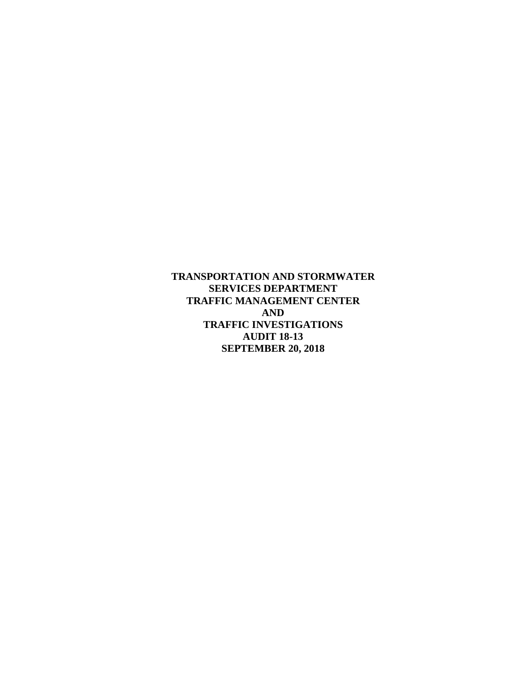**TRANSPORTATION AND STORMWATER SERVICES DEPARTMENT TRAFFIC MANAGEMENT CENTER AND TRAFFIC INVESTIGATIONS AUDIT 18-13 SEPTEMBER 20, 2018**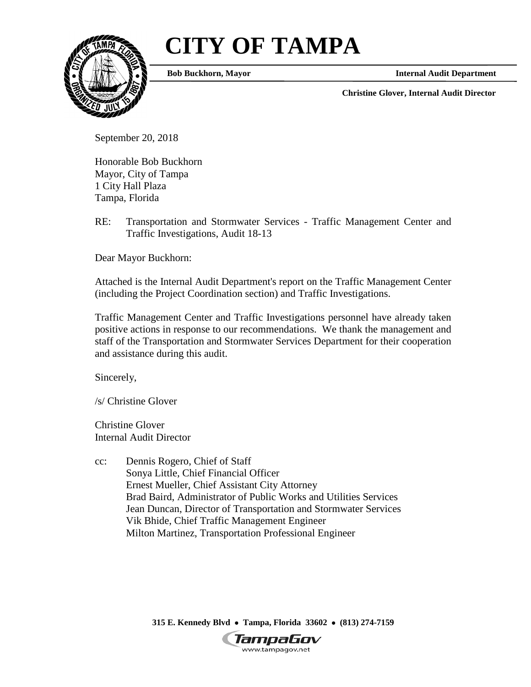# **CITY OF TAMPA**



**Bob Buckhorn, Mayor**

**Internal Audit Department**

**Christine Glover, Internal Audit Director**

September 20, 2018

Honorable Bob Buckhorn Mayor, City of Tampa 1 City Hall Plaza Tampa, Florida

RE: Transportation and Stormwater Services - Traffic Management Center and Traffic Investigations, Audit 18-13

Dear Mayor Buckhorn:

Attached is the Internal Audit Department's report on the Traffic Management Center (including the Project Coordination section) and Traffic Investigations.

Traffic Management Center and Traffic Investigations personnel have already taken positive actions in response to our recommendations. We thank the management and staff of the Transportation and Stormwater Services Department for their cooperation and assistance during this audit.

Sincerely,

/s/ Christine Glover

Christine Glover Internal Audit Director

cc: Dennis Rogero, Chief of Staff Sonya Little, Chief Financial Officer Ernest Mueller, Chief Assistant City Attorney Brad Baird, Administrator of Public Works and Utilities Services Jean Duncan, Director of Transportation and Stormwater Services Vik Bhide, Chief Traffic Management Engineer Milton Martinez, Transportation Professional Engineer

**315 E. Kennedy Blvd** • **Tampa, Florida 33602** • **(813) 274-7159**

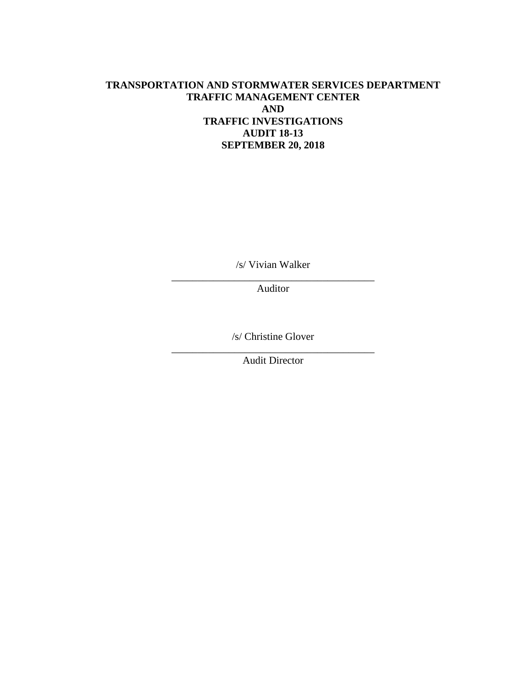## **TRANSPORTATION AND STORMWATER SERVICES DEPARTMENT TRAFFIC MANAGEMENT CENTER AND TRAFFIC INVESTIGATIONS AUDIT 18-13 SEPTEMBER 20, 2018**

/s/ Vivian Walker

\_\_\_\_\_\_\_\_\_\_\_\_\_\_\_\_\_\_\_\_\_\_\_\_\_\_\_\_\_\_\_\_\_\_\_\_\_\_\_ Auditor

/s/ Christine Glover

\_\_\_\_\_\_\_\_\_\_\_\_\_\_\_\_\_\_\_\_\_\_\_\_\_\_\_\_\_\_\_\_\_\_\_\_\_\_\_ Audit Director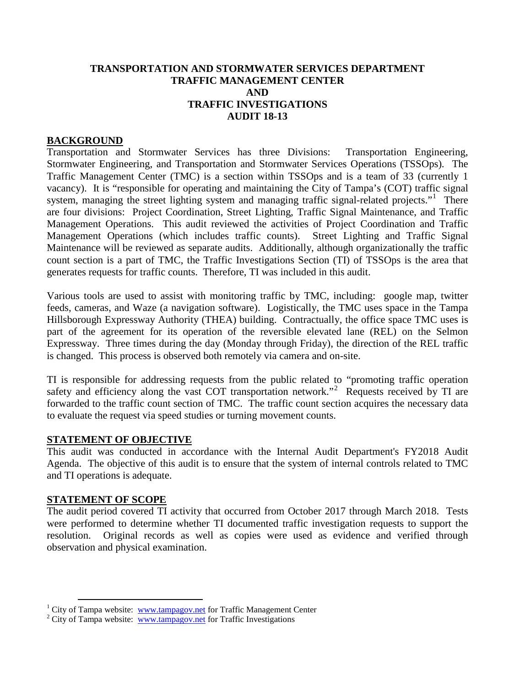#### **TRANSPORTATION AND STORMWATER SERVICES DEPARTMENT TRAFFIC MANAGEMENT CENTER AND TRAFFIC INVESTIGATIONS AUDIT 18-13**

#### **BACKGROUND**

Transportation and Stormwater Services has three Divisions: Transportation Engineering, Stormwater Engineering, and Transportation and Stormwater Services Operations (TSSOps). The Traffic Management Center (TMC) is a section within TSSOps and is a team of 33 (currently 1 vacancy). It is "responsible for operating and maintaining the City of Tampa's (COT) traffic signal system, managing the street lighting system and managing traffic signal-related projects."<sup>[1](#page-3-0)</sup> There are four divisions: Project Coordination, Street Lighting, Traffic Signal Maintenance, and Traffic Management Operations. This audit reviewed the activities of Project Coordination and Traffic Management Operations (which includes traffic counts). Street Lighting and Traffic Signal Maintenance will be reviewed as separate audits. Additionally, although organizationally the traffic count section is a part of TMC, the Traffic Investigations Section (TI) of TSSOps is the area that generates requests for traffic counts. Therefore, TI was included in this audit.

Various tools are used to assist with monitoring traffic by TMC, including: google map, twitter feeds, cameras, and Waze (a navigation software). Logistically, the TMC uses space in the Tampa Hillsborough Expressway Authority (THEA) building. Contractually, the office space TMC uses is part of the agreement for its operation of the reversible elevated lane (REL) on the Selmon Expressway. Three times during the day (Monday through Friday), the direction of the REL traffic is changed. This process is observed both remotely via camera and on-site.

TI is responsible for addressing requests from the public related to "promoting traffic operation safety and efficiency along the vast COT transportation network."<sup>[2](#page-3-1)</sup> Requests received by TI are forwarded to the traffic count section of TMC. The traffic count section acquires the necessary data to evaluate the request via speed studies or turning movement counts.

#### **STATEMENT OF OBJECTIVE**

This audit was conducted in accordance with the Internal Audit Department's FY2018 Audit Agenda. The objective of this audit is to ensure that the system of internal controls related to TMC and TI operations is adequate.

#### **STATEMENT OF SCOPE**

The audit period covered TI activity that occurred from October 2017 through March 2018. Tests were performed to determine whether TI documented traffic investigation requests to support the resolution. Original records as well as copies were used as evidence and verified through observation and physical examination.

<span id="page-3-0"></span><sup>&</sup>lt;sup>1</sup> City of Tampa website: <u>[www.tampagov.net](http://www.tampagov.net/)</u> for Traffic Management Center  $2$  City of Tampa website: www.tampagov.net for Traffic Investigations

<span id="page-3-1"></span>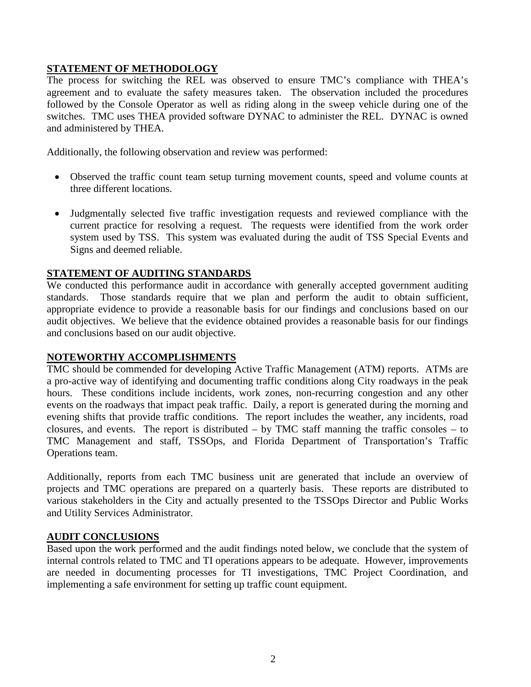## **STATEMENT OF METHODOLOGY**

The process for switching the REL was observed to ensure TMC's compliance with THEA's agreement and to evaluate the safety measures taken. The observation included the procedures followed by the Console Operator as well as riding along in the sweep vehicle during one of the switches. TMC uses THEA provided software DYNAC to administer the REL. DYNAC is owned and administered by THEA.

Additionally, the following observation and review was performed:

- Observed the traffic count team setup turning movement counts, speed and volume counts at three different locations.
- Judgmentally selected five traffic investigation requests and reviewed compliance with the current practice for resolving a request. The requests were identified from the work order system used by TSS. This system was evaluated during the audit of TSS Special Events and Signs and deemed reliable.

## **STATEMENT OF AUDITING STANDARDS**

We conducted this performance audit in accordance with generally accepted government auditing standards. Those standards require that we plan and perform the audit to obtain sufficient, appropriate evidence to provide a reasonable basis for our findings and conclusions based on our audit objectives. We believe that the evidence obtained provides a reasonable basis for our findings and conclusions based on our audit objective.

## **NOTEWORTHY ACCOMPLISHMENTS**

TMC should be commended for developing Active Traffic Management (ATM) reports. ATMs are a pro-active way of identifying and documenting traffic conditions along City roadways in the peak hours. These conditions include incidents, work zones, non-recurring congestion and any other events on the roadways that impact peak traffic. Daily, a report is generated during the morning and evening shifts that provide traffic conditions. The report includes the weather, any incidents, road closures, and events. The report is distributed – by TMC staff manning the traffic consoles – to TMC Management and staff, TSSOps, and Florida Department of Transportation's Traffic Operations team.

Additionally, reports from each TMC business unit are generated that include an overview of projects and TMC operations are prepared on a quarterly basis. These reports are distributed to various stakeholders in the City and actually presented to the TSSOps Director and Public Works and Utility Services Administrator.

## **AUDIT CONCLUSIONS**

Based upon the work performed and the audit findings noted below, we conclude that the system of internal controls related to TMC and TI operations appears to be adequate. However, improvements are needed in documenting processes for TI investigations, TMC Project Coordination, and implementing a safe environment for setting up traffic count equipment.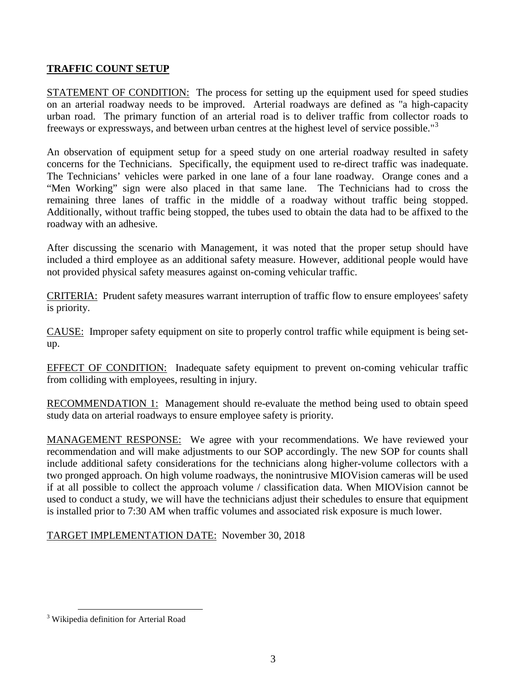## **TRAFFIC COUNT SETUP**

STATEMENT OF CONDITION: The process for setting up the equipment used for speed studies on an arterial roadway needs to be improved. Arterial roadways are defined as "a high-capacity urban road. The primary function of an arterial road is to deliver traffic from collector roads to freeways or expressways, and between urban centres at the highest level of service possible."<sup>[3](#page-5-0)</sup>

An observation of equipment setup for a speed study on one arterial roadway resulted in safety concerns for the Technicians. Specifically, the equipment used to re-direct traffic was inadequate. The Technicians' vehicles were parked in one lane of a four lane roadway. Orange cones and a "Men Working" sign were also placed in that same lane. The Technicians had to cross the remaining three lanes of traffic in the middle of a roadway without traffic being stopped. Additionally, without traffic being stopped, the tubes used to obtain the data had to be affixed to the roadway with an adhesive.

After discussing the scenario with Management, it was noted that the proper setup should have included a third employee as an additional safety measure. However, additional people would have not provided physical safety measures against on-coming vehicular traffic.

CRITERIA: Prudent safety measures warrant interruption of traffic flow to ensure employees' safety is priority.

CAUSE: Improper safety equipment on site to properly control traffic while equipment is being setup.

EFFECT OF CONDITION: Inadequate safety equipment to prevent on-coming vehicular traffic from colliding with employees, resulting in injury.

RECOMMENDATION 1: Management should re-evaluate the method being used to obtain speed study data on arterial roadways to ensure employee safety is priority.

MANAGEMENT RESPONSE: We agree with your recommendations. We have reviewed your recommendation and will make adjustments to our SOP accordingly. The new SOP for counts shall include additional safety considerations for the technicians along higher-volume collectors with a two pronged approach. On high volume roadways, the nonintrusive MIOVision cameras will be used if at all possible to collect the approach volume / classification data. When MIOVision cannot be used to conduct a study, we will have the technicians adjust their schedules to ensure that equipment is installed prior to 7:30 AM when traffic volumes and associated risk exposure is much lower.

TARGET IMPLEMENTATION DATE: November 30, 2018

<span id="page-5-0"></span> <sup>3</sup> Wikipedia definition for Arterial Road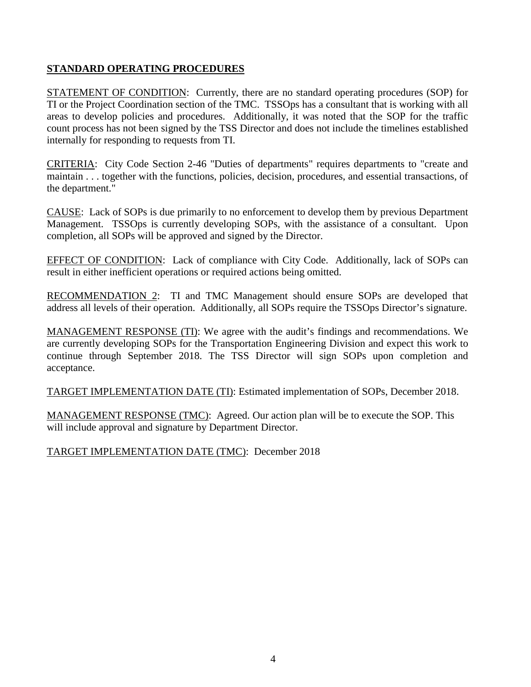## **STANDARD OPERATING PROCEDURES**

STATEMENT OF CONDITION: Currently, there are no standard operating procedures (SOP) for TI or the Project Coordination section of the TMC. TSSOps has a consultant that is working with all areas to develop policies and procedures. Additionally, it was noted that the SOP for the traffic count process has not been signed by the TSS Director and does not include the timelines established internally for responding to requests from TI.

CRITERIA: City Code Section 2-46 "Duties of departments" requires departments to "create and maintain . . . together with the functions, policies, decision, procedures, and essential transactions, of the department."

CAUSE: Lack of SOPs is due primarily to no enforcement to develop them by previous Department Management. TSSOps is currently developing SOPs, with the assistance of a consultant. Upon completion, all SOPs will be approved and signed by the Director.

EFFECT OF CONDITION: Lack of compliance with City Code. Additionally, lack of SOPs can result in either inefficient operations or required actions being omitted.

RECOMMENDATION 2: TI and TMC Management should ensure SOPs are developed that address all levels of their operation. Additionally, all SOPs require the TSSOps Director's signature.

MANAGEMENT RESPONSE (TI): We agree with the audit's findings and recommendations. We are currently developing SOPs for the Transportation Engineering Division and expect this work to continue through September 2018. The TSS Director will sign SOPs upon completion and acceptance.

TARGET IMPLEMENTATION DATE (TI): Estimated implementation of SOPs, December 2018.

MANAGEMENT RESPONSE (TMC): Agreed. Our action plan will be to execute the SOP. This will include approval and signature by Department Director.

TARGET IMPLEMENTATION DATE (TMC): December 2018